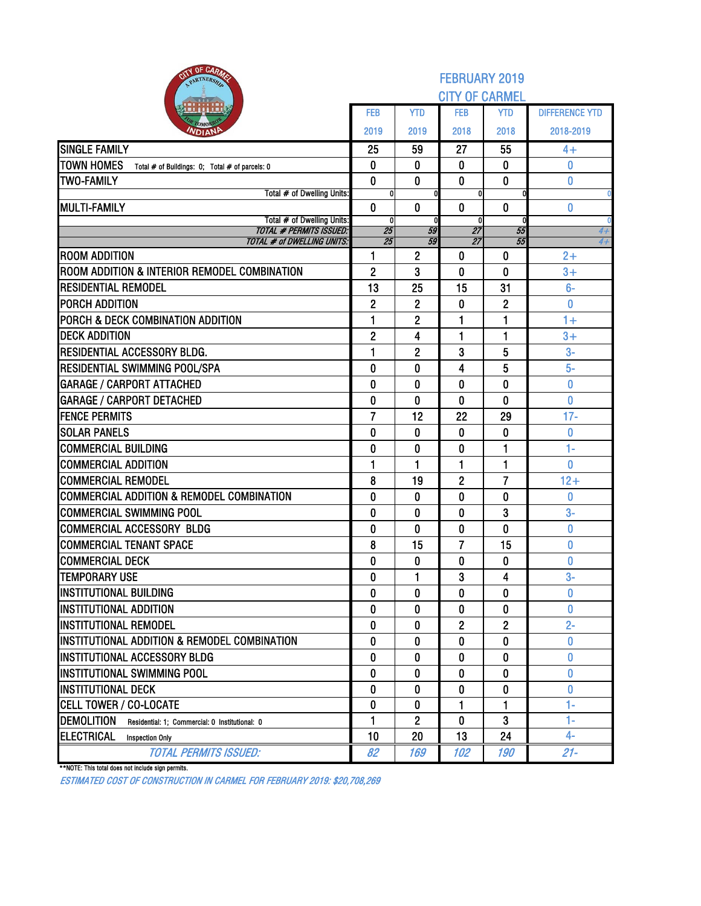| OF CARMS<br><b>The</b><br>PARTNERSH                                 | <b>FEBRUARY 2019</b><br><b>CITY OF CARMEL</b> |                |                 |                |                       |  |  |  |  |
|---------------------------------------------------------------------|-----------------------------------------------|----------------|-----------------|----------------|-----------------------|--|--|--|--|
|                                                                     | <b>FEB</b>                                    | <b>YTD</b>     | <b>FEB</b>      | <b>YTD</b>     | <b>DIFFERENCE YTD</b> |  |  |  |  |
| <b>NDIAN</b>                                                        | 2019                                          | 2019           | 2018            | 2018           | 2018-2019             |  |  |  |  |
| <b>SINGLE FAMILY</b>                                                | 25                                            | 59             | 27              | 55             | 4+                    |  |  |  |  |
| <b>TOWN HOMES</b><br>Total # of Buildings: 0; Total # of parcels: 0 | 0                                             | $\bf{0}$       | 0               | 0              | 0                     |  |  |  |  |
| <b>TWO-FAMILY</b>                                                   | $\mathbf 0$                                   | $\bf{0}$       | $\bf{0}$        | $\mathbf{0}$   | $\bf{0}$              |  |  |  |  |
| Total # of Dwelling Units:                                          | 0                                             |                | $\mathbf{0}$    |                |                       |  |  |  |  |
| <b>MULTI-FAMILY</b>                                                 | $\mathbf{0}$                                  | $\mathbf{0}$   | $\bf{0}$        | $\mathbf{0}$   | 0                     |  |  |  |  |
| Total # of Dwelling Units:<br><b>TOTAL # PERMITS ISSUED:</b>        | $\mathbf{0}$<br>$\overline{25}$               | 59             | 0<br>27         | 55             | 4+                    |  |  |  |  |
| <b>TOTAL # of DWELLING UNITS:</b>                                   | 25                                            | 59             | $\overline{27}$ | 55             | $4+$                  |  |  |  |  |
| <b>ROOM ADDITION</b>                                                | 1                                             | $\mathbf{2}$   | 0               | 0              | $2+$                  |  |  |  |  |
| ROOM ADDITION & INTERIOR REMODEL COMBINATION                        | $\overline{2}$                                | 3              | 0               | 0              | $3+$                  |  |  |  |  |
| <b>RESIDENTIAL REMODEL</b>                                          | 13                                            | 25             | 15              | 31             | $6-$                  |  |  |  |  |
| PORCH ADDITION                                                      | $\overline{2}$                                | 2              | 0               | $\overline{2}$ | $\bf{0}$              |  |  |  |  |
| PORCH & DECK COMBINATION ADDITION                                   | 1                                             | 2              | 1               | 1              | $1+$                  |  |  |  |  |
| <b>DECK ADDITION</b>                                                | $\overline{2}$                                | 4              | 1               | 1              | $3+$                  |  |  |  |  |
| RESIDENTIAL ACCESSORY BLDG.                                         | 1                                             | $\overline{2}$ | 3               | 5              | $3-$                  |  |  |  |  |
| RESIDENTIAL SWIMMING POOL/SPA                                       | 0                                             | $\bf{0}$       | 4               | 5              | $5-$                  |  |  |  |  |
| <b>GARAGE / CARPORT ATTACHED</b>                                    | 0                                             | 0              | 0               | $\bf{0}$       | 0                     |  |  |  |  |
| <b>GARAGE / CARPORT DETACHED</b>                                    | 0                                             | $\mathbf{0}$   | $\mathbf 0$     | $\mathbf{0}$   | $\overline{0}$        |  |  |  |  |
| <b>FENCE PERMITS</b>                                                | 7                                             | 12             | 22              | 29             | $17 -$                |  |  |  |  |
| <b>SOLAR PANELS</b>                                                 | 0                                             | 0              | 0               | $\bf{0}$       | $\bf{0}$              |  |  |  |  |
| <b>COMMERCIAL BUILDING</b>                                          | $\bf{0}$                                      | $\mathbf 0$    | $\bf{0}$        | 1              | $1-$                  |  |  |  |  |
| <b>COMMERCIAL ADDITION</b>                                          | 1                                             | 1              | 1               | 1              | 0                     |  |  |  |  |
| <b>COMMERCIAL REMODEL</b>                                           | 8                                             | 19             | $\overline{2}$  | $\overline{7}$ | $12+$                 |  |  |  |  |
| <b>COMMERCIAL ADDITION &amp; REMODEL COMBINATION</b>                | 0                                             | $\bf{0}$       | 0               | $\mathbf{0}$   | 0                     |  |  |  |  |
| <b>COMMERCIAL SWIMMING POOL</b>                                     | 0                                             | 0              | 0               | 3              | $3-$                  |  |  |  |  |
| <b>COMMERCIAL ACCESSORY BLDG</b>                                    | 0                                             | 0              | 0               | $\bf{0}$       | 0                     |  |  |  |  |
| <b>COMMERCIAL TENANT SPACE</b>                                      | 8                                             | 15             | $\overline{7}$  | 15             | 0                     |  |  |  |  |
| <b>COMMERCIAL DECK</b>                                              | 0                                             | 0              | 0               | $\bf{0}$       | 0                     |  |  |  |  |
| <b>TEMPORARY USE</b>                                                | 0                                             | 1              | 3               | 4              | $3-$                  |  |  |  |  |
| <b>INSTITUTIONAL BUILDING</b>                                       | $\mathbf{0}$                                  | $\mathbf{0}$   | 0               | 0              | 0                     |  |  |  |  |
| <b>INSTITUTIONAL ADDITION</b>                                       | 0                                             | 0              | 0               | 0              | 0                     |  |  |  |  |
| <b>INSTITUTIONAL REMODEL</b>                                        | 0                                             | 0              | $\overline{2}$  | $\overline{2}$ | $2 -$                 |  |  |  |  |
| INSTITUTIONAL ADDITION & REMODEL COMBINATION                        | 0                                             | 0              | 0               | $\mathbf 0$    | $\bf{0}$              |  |  |  |  |
| INSTITUTIONAL ACCESSORY BLDG                                        | 0                                             | 0              | 0               | 0              | 0                     |  |  |  |  |
| <b>INSTITUTIONAL SWIMMING POOL</b>                                  | 0                                             | 0              | 0               | 0              | O                     |  |  |  |  |
| <b>INSTITUTIONAL DECK</b>                                           | 0                                             | 0              | 0               | 0              | 0                     |  |  |  |  |
| CELL TOWER / CO-LOCATE                                              | 0                                             | 0              | 1               | 1              | $1 -$                 |  |  |  |  |
| <b>DEMOLITION</b><br>Residential: 1; Commercial: 0 Institutional: 0 | 1                                             | $\overline{2}$ | $\bf{0}$        | 3              | $1 -$                 |  |  |  |  |
| <b>ELECTRICAL</b><br><b>Inspection Only</b>                         | 10                                            | 20             | 13              | 24             | $4-$                  |  |  |  |  |
| <b>TOTAL PERMITS ISSUED:</b>                                        | 82                                            | 169            | 102             | 190            | $21 -$                |  |  |  |  |

\*\*NOTE: This total does not include sign permits.

ESTIMATED COST OF CONSTRUCTION IN CARMEL FOR FEBRUARY 2019: \$20,708,269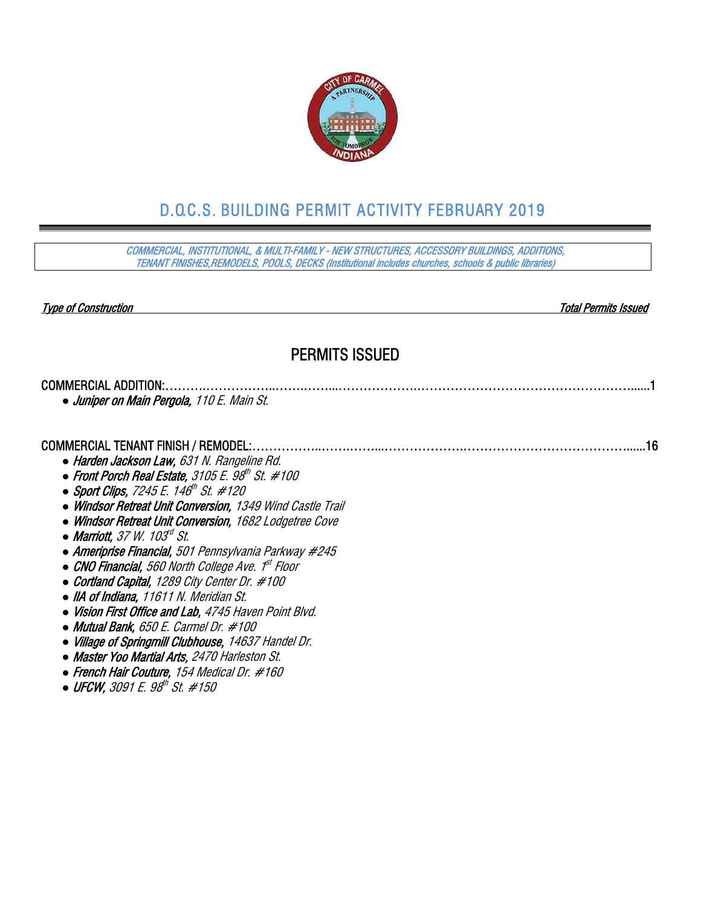

# D.O.C.S. BUILDING PERMIT ACTIVITY FEBRUARY 2019

COMMERCIAL, INSTITUTIONAL, & MULTI-FAMILY - NEW STRUCTURES, ACCESSORY BUILDINGS, ADDITIONS, TENANT FINISHES,REMODELS, POOLS, DECKS (Institutional includes churches, schools & public libraries)

Type of Construction Total Permits Issued

### PERMITS ISSUED

| Juniper on Main Pergola, 110 E. Main St. |  |
|------------------------------------------|--|

#### COMMERCIAL TENANT FINISH / REMODEL:……………..…….……...……………….…………………………………......16

- *●* Harden Jackson Law, 631 N. Rangeline Rd.
- Front Porch Real Estate, 3105 E. 98<sup>th</sup> St. #100
- Sport Clips, 7245 E. 146<sup>th</sup> St. #120
- *●* Windsor Retreat Unit Conversion, 1349 Wind Castle Trail
- *●* Windsor Retreat Unit Conversion, 1682 Lodgetree Cove
- *●* Marriott, 37 W. 103rd St.
- *●* Ameriprise Financial, 501 Pennsylvania Parkway #245
- *●* CNO Financial, 560 North College Ave. 1st Floor
- *●* Cortland Capital, 1289 City Center Dr. #100
- *●* IIA of Indiana, 11611 N. Meridian St.
- *●* Vision First Office and Lab, 4745 Haven Point Blvd.
- *●* Mutual Bank, 650 E. Carmel Dr. #100
- *●* Village of Springmill Clubhouse, 14637 Handel Dr.
- *●* Master Yoo Martial Arts, 2470 Harleston St.
- *●* French Hair Couture, 154 Medical Dr. #160
- *●* UFCW, 3091 E. 98th St. #150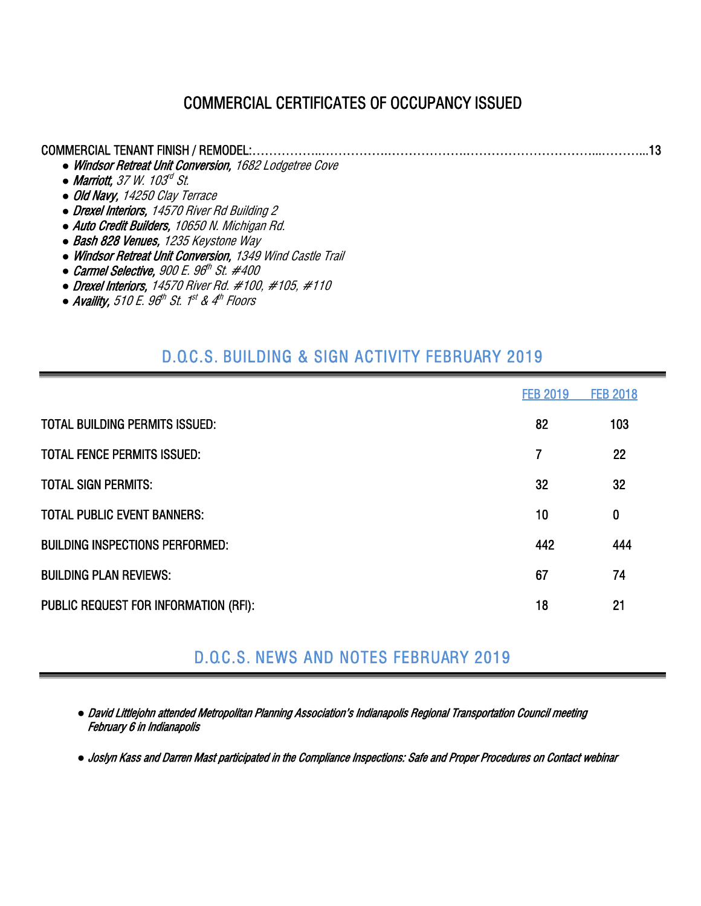## COMMERCIAL CERTIFICATES OF OCCUPANCY ISSUED

| <b>COMMERCIAL TENANT FINISH / REMODEL:</b>                      |
|-----------------------------------------------------------------|
| • Windsor Retreat Unit Conversion, 1682 Lodgetree Cove          |
| • Marriott, $37 W. 103rd St.$                                   |
| • Old Navy, 14250 Clay Terrace                                  |
| • Drexel Interiors, 14570 River Rd Building 2                   |
| • Auto Credit Builders, 10650 N. Michigan Rd.                   |
| • Bash 828 Venues, 1235 Keystone Way                            |
| • Windsor Retreat Unit Conversion, 1349 Wind Castle Trail       |
| • Carmel Selective, $900$ E. $96^{\text{th}}$ St. #400          |
| • Drexel Interiors, 14570 River Rd. $\#100$ , $\#105$ , $\#110$ |

**• Availity,** 510 E. 96<sup>th</sup> St. 1<sup>st</sup> & 4<sup>th</sup> Floors

## D.O.C.S. BUILDING & SIGN ACTIVITY FEBRUARY 2019

|                                        | <b>FEB 2019</b> | <b>FEB 2018</b> |
|----------------------------------------|-----------------|-----------------|
| <b>TOTAL BUILDING PERMITS ISSUED:</b>  | 82              | 103             |
| <b>TOTAL FENCE PERMITS ISSUED:</b>     | 7               | 22              |
| <b>TOTAL SIGN PERMITS:</b>             | 32              | 32              |
| <b>TOTAL PUBLIC EVENT BANNERS:</b>     | 10              | $\bf{0}$        |
| <b>BUILDING INSPECTIONS PERFORMED:</b> | 442             | 444             |
| <b>BUILDING PLAN REVIEWS:</b>          | 67              | 74              |
| PUBLIC REQUEST FOR INFORMATION (RFI):  | 18              | 21              |

## D.O.C.S. NEWS AND NOTES FEBRUARY 2019

*●* David Littlejohn attended Metropolitan Planning Association's Indianapolis Regional Transportation Council meeting February 6 in Indianapolis

*●* Joslyn Kass and Darren Mast participated in the Compliance Inspections: Safe and Proper Procedures on Contact webinar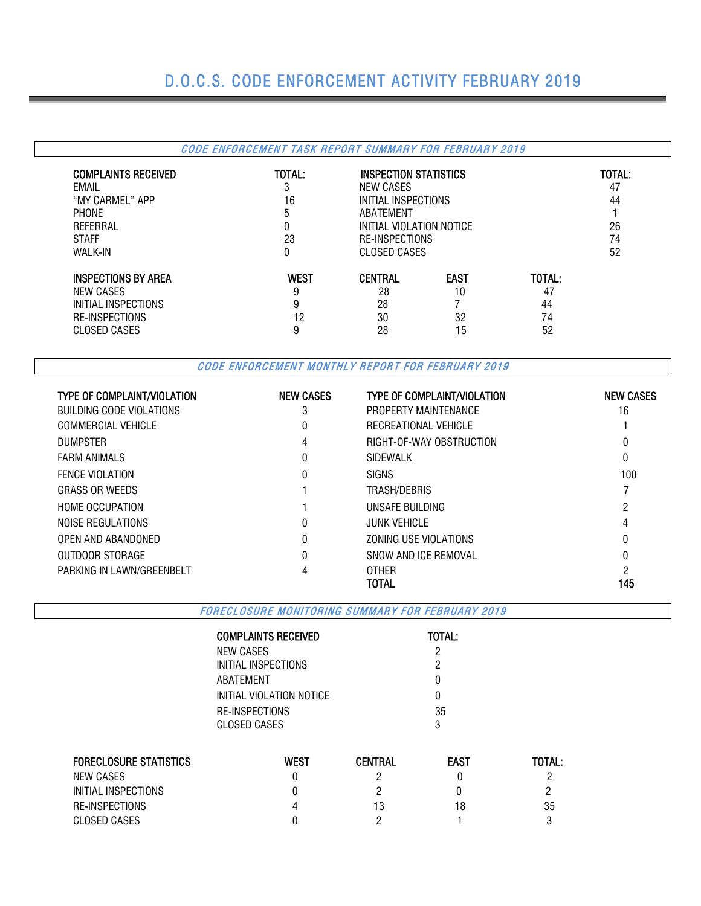## D.O.C.S. CODE ENFORCEMENT ACTIVITY FEBRUARY 2019

#### CODE ENFORCEMENT TASK REPORT SUMMARY FOR FEBRUARY 2019 COMPLAINTS RECEIVED TOTAL: INSPECTION STATISTICS TOTAL: EMAIL 3 NEW CASES 47 "MY CARMEL" APP 16 INITIAL INSPECTIONS 44 PHONE 2008 1 ABATEMENT 2008 1 ABATEMENT 2008 1 ABATEMENT 2008 1 ABATEMENT 2008 1 ABATEMENT 2008 1 ABATEMENT 2008 REFERRAL 0 INITIAL VIOLATION NOTICE 26 STAFF 23 RE-INSPECTIONS 74 CLOSED CASES **INSPECTIONS BY AREA** WEST CENTRAL EAST TOTAL:<br>
NEW CASES 0 28 10 47 NEW CASES 28 28 10 47 INITIAL INSPECTIONS 8 28 28 7 44 RE-INSPECTIONS 12 30 32 74 CLOSED CASES 8 28 28 15

CODE ENFORCEMENT MONTHLY REPORT FOR FEBRUARY 2019

| <b>TYPE OF COMPLAINT/VIOLATION</b> | <b>NEW CASES</b> | <b>TYPE OF COMPLAINT/VIOLATION</b> | <b>NEW CASES</b> |
|------------------------------------|------------------|------------------------------------|------------------|
| BUILDING CODE VIOLATIONS           | 3                | PROPERTY MAINTENANCE               | 16               |
| <b>COMMERCIAL VEHICLE</b>          |                  | RECREATIONAL VEHICLE               |                  |
| <b>DUMPSTER</b>                    | 4                | RIGHT-OF-WAY OBSTRUCTION           |                  |
| <b>FARM ANIMALS</b>                | 0                | SIDEWALK                           | 0                |
| <b>FENCE VIOLATION</b>             |                  | <b>SIGNS</b>                       | 100              |
| <b>GRASS OR WEEDS</b>              |                  | TRASH/DEBRIS                       |                  |
| <b>HOME OCCUPATION</b>             |                  | UNSAFE BUILDING                    |                  |
| NOISE REGULATIONS                  | 0                | <b>JUNK VEHICLE</b>                | 4                |
| OPEN AND ABANDONED                 | 0                | ZONING USE VIOLATIONS              | 0                |
| OUTDOOR STORAGE                    | 0                | SNOW AND ICF REMOVAL               | 0                |
| PARKING IN LAWN/GREENBELT          |                  | <b>OTHER</b>                       |                  |
|                                    |                  | TOTAL                              | 145              |

FORECLOSURE MONITORING SUMMARY FOR FEBRUARY 2019

| <b>TOTAL:</b> |
|---------------|
| 2             |
| 2             |
| O             |
| n             |
| 35<br>3       |
|               |

| <b>FORECLOSURE STATISTICS</b> | West | <b>CENTRAL</b> | <b>EAST</b> | TOTAL: |
|-------------------------------|------|----------------|-------------|--------|
| NEW CASES                     |      |                |             |        |
| INITIAL INSPECTIONS           |      |                |             |        |
| RE-INSPECTIONS                |      | 13             | 18          | 35     |
| CLOSED CASES                  |      |                |             |        |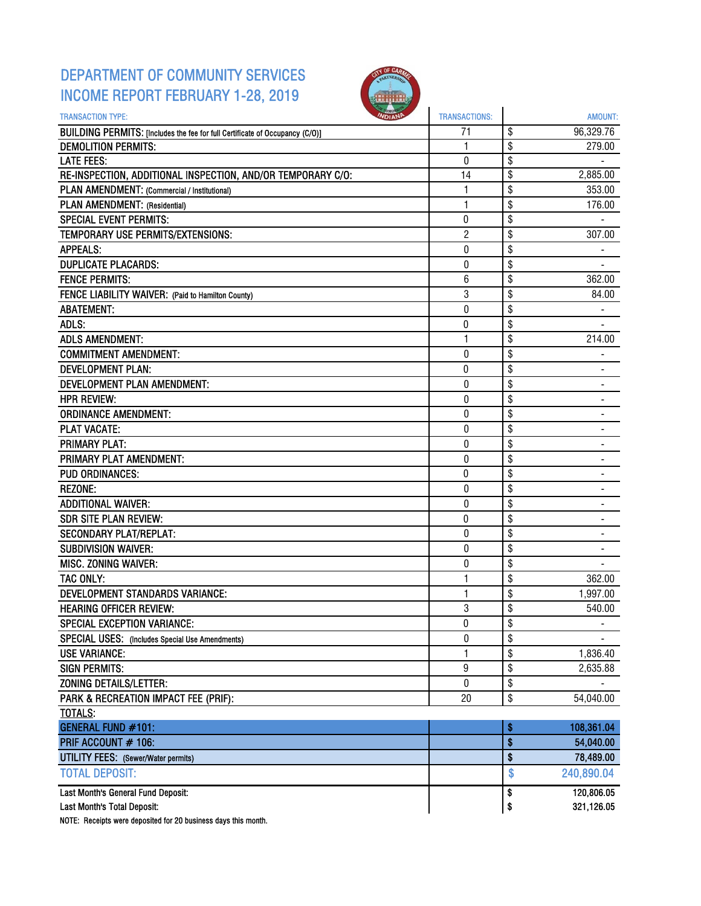### DEPARTMENT OF COMMUNITY SERVICES INCOME REPORT FEBRUARY 1-28, 2019



| <b>TRANSACTION TYPE:</b>                                                     | <b>TRANSACTIONS:</b> | AMOUNT:                        |
|------------------------------------------------------------------------------|----------------------|--------------------------------|
| BUILDING PERMITS: [Includes the fee for full Certificate of Occupancy (C/O)] | 71                   | \$<br>96,329.76                |
| <b>DEMOLITION PERMITS:</b>                                                   | 1                    | \$<br>279.00                   |
| <b>LATE FEES:</b>                                                            | 0                    | \$                             |
| RE-INSPECTION, ADDITIONAL INSPECTION, AND/OR TEMPORARY C/O:                  | 14                   | \$<br>2,885.00                 |
| PLAN AMENDMENT: (Commercial / Institutional)                                 | 1                    | \$<br>353.00                   |
| PLAN AMENDMENT: (Residential)                                                | 1                    | \$<br>176.00                   |
| <b>SPECIAL EVENT PERMITS:</b>                                                | 0                    | \$                             |
| TEMPORARY USE PERMITS/EXTENSIONS:                                            | $\overline{c}$       | \$<br>307.00                   |
| <b>APPEALS:</b>                                                              | 0                    | \$                             |
| <b>DUPLICATE PLACARDS:</b>                                                   | 0                    | \$                             |
| <b>FENCE PERMITS:</b>                                                        | 6                    | \$<br>362.00                   |
| FENCE LIABILITY WAIVER: (Paid to Hamilton County)                            | 3                    | \$<br>84.00                    |
| <b>ABATEMENT:</b>                                                            | 0                    | \$                             |
| ADLS:                                                                        | 0                    | \$                             |
| <b>ADLS AMENDMENT:</b>                                                       | 1                    | \$<br>214.00                   |
| <b>COMMITMENT AMENDMENT:</b>                                                 | 0                    | \$                             |
| <b>DEVELOPMENT PLAN:</b>                                                     | 0                    | \$                             |
| DEVELOPMENT PLAN AMENDMENT:                                                  | $\bf{0}$             | \$                             |
| <b>HPR REVIEW:</b>                                                           | 0                    | \$<br>÷,                       |
| <b>ORDINANCE AMENDMENT:</b>                                                  | 0                    | \$                             |
| <b>PLAT VACATE:</b>                                                          | 0                    | \$                             |
| <b>PRIMARY PLAT:</b>                                                         | 0                    | \$                             |
| PRIMARY PLAT AMENDMENT:                                                      | 0                    | \$                             |
| <b>PUD ORDINANCES:</b>                                                       | 0                    | \$                             |
| <b>REZONE:</b>                                                               | 0                    | \$                             |
| <b>ADDITIONAL WAIVER:</b>                                                    | $\pmb{0}$            | \$                             |
| <b>SDR SITE PLAN REVIEW:</b>                                                 | 0                    | \$<br>$\overline{\phantom{0}}$ |
| <b>SECONDARY PLAT/REPLAT:</b>                                                | 0                    | \$                             |
| <b>SUBDIVISION WAIVER:</b>                                                   | $\bf{0}$             | \$                             |
| MISC. ZONING WAIVER:                                                         | $\pmb{0}$            | \$                             |
| <b>TAC ONLY:</b>                                                             | 1                    | \$<br>362.00                   |
| DEVELOPMENT STANDARDS VARIANCE:                                              | 1                    | \$<br>1,997.00                 |
| <b>HEARING OFFICER REVIEW:</b>                                               | 3                    | \$<br>540.00                   |
| SPECIAL EXCEPTION VARIANCE:                                                  | 0                    | \$<br>-                        |
| SPECIAL USES: (Includes Special Use Amendments)                              | 0                    | \$                             |
| <b>USE VARIANCE:</b>                                                         | $\mathbf{1}$         | \$<br>1,836.40                 |
| <b>SIGN PERMITS:</b>                                                         | 9                    | \$<br>2,635.88                 |
| ZONING DETAILS/LETTER:                                                       | 0                    | \$                             |
| PARK & RECREATION IMPACT FEE (PRIF):                                         | 20                   | \$<br>54,040.00                |
| <b>TOTALS:</b>                                                               |                      |                                |
| <b>GENERAL FUND #101:</b>                                                    |                      | \$<br>108,361.04               |
| PRIF ACCOUNT # 106:                                                          |                      | \$<br>54,040.00                |
| <b>UTILITY FEES:</b> (Sewer/Water permits)                                   |                      | \$<br>78,489.00                |
| <b>TOTAL DEPOSIT:</b>                                                        |                      | \$<br>240,890.04               |
| Last Month's General Fund Deposit:                                           |                      | \$<br>120,806.05               |
| Last Month's Total Deposit:                                                  |                      | \$<br>321,126.05               |

NOTE: Receipts were deposited for 20 business days this month.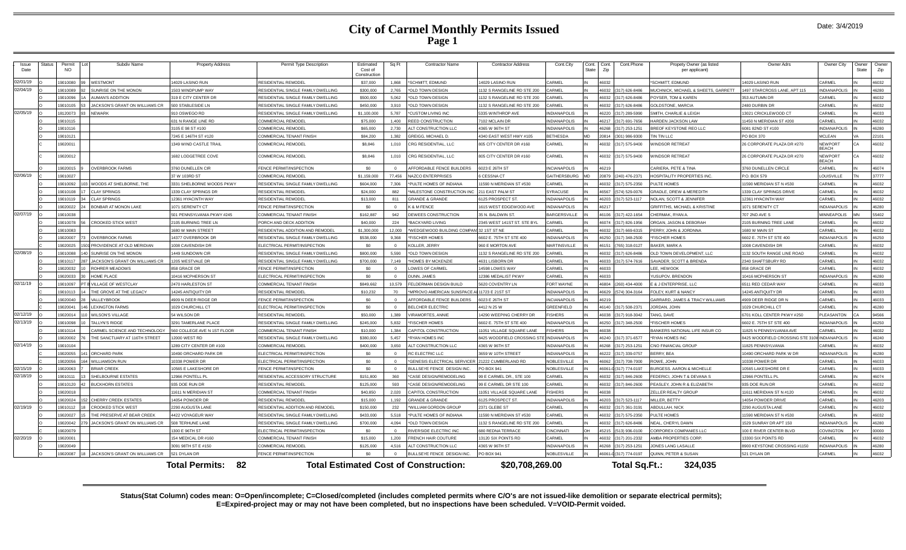### **City of Carmel Monthly Permits Issued Page 1**

| Issue<br>Date | <b>Status</b> | Permit<br>NO | Subdiv Name                     | <b>Property Address</b>     | Permit Type Description            | Estimated<br>Cost of<br>Constructior | Sq Ft      | <b>Contractor Name</b>                       | <b>Contractor Address</b>   | Cont.City           | Cont.<br>Cont.<br>State<br>Zip | Cont. Phone            | Propety Owner (as listed<br>per applicant) | Owner Adrs                     | Owner City                     | Owner<br><b>State</b> | Owne<br>Zip |
|---------------|---------------|--------------|---------------------------------|-----------------------------|------------------------------------|--------------------------------------|------------|----------------------------------------------|-----------------------------|---------------------|--------------------------------|------------------------|--------------------------------------------|--------------------------------|--------------------------------|-----------------------|-------------|
| 02/01/19      |               | 9010080      | <b>WESTMONT</b>                 | 14029 LASINO RUN            | RESIDENTIAL REMODEL                | \$37,000                             | 1.868      | SCHMITT FDMUND                               | 14029   ASINO RUN           | ARMEL               | <b>6032</b>                    |                        | <b>SCHMITT, FDMUND</b>                     | 4029 LASINO RUN                | ARMEI                          |                       | \$6032      |
| 02/04/19      |               | 9010089      | SUNRISE ON THE MONON            | 1503 WINDPUMP WAY           | RESIDENTIAL SINGLE FAMILY DWELLING | \$300,000                            | 2.765      | <b>OLD TOWN DESIGN</b>                       | 1132 S RANGELINE RD STE 200 | <b>ARMEL</b>        | 6032                           | (317) 626-8486         | MUCHNICK, MICHAEL & SHEETS, GARRETT        | 1497 STARCROSS LANE, APT 115   | <b>INDIANAPOLIS</b>            |                       | 46280       |
|               |               | 19010096     | <b>AUMAN'S ADDITION</b>         | 319 E CITY CENTER DR        | RESIDENTIAL SINGLE FAMILY DWELLING | \$500,000                            | 5,062      | OLD TOWN DESIGN                              | 1132 S RANGELINE RD STE 200 | <b>ARMEL</b>        | 6032                           | (317) 626-8486         | POYSER, TOM & KAREN                        | 353 AUTUMN DR                  | CARMEL                         |                       | 46032       |
|               |               | 19010105     | JACKSON'S GRANT ON WILLIAMS CR  | 500 STABLESIDE LN           | RESIDENTIAL SINGLE FAMILY DWELLING | \$450,000                            | 3.910      | OLD TOWN DESIGN                              | 1132 S RANGELINE RD STE 200 | <b>ARMEL</b>        | 6032                           | (317) 626-8486         | <b>GOLDSTONE, MARCIA</b>                   | 2480 DURBIN DR                 | ARMEI                          |                       | 46032       |
| 02/05/19      |               | 18120073     | <b>NFWARK</b>                   | 910 OSWEGO RD               | RESIDENTIAL SINGLE FAMILY DWELLING | \$1,100,000                          | 5,787      | <b>'CUSTOM LIVING INC</b>                    | 5335 WINTHROP AVE           | <b>NDIANAPOLIS</b>  | 16220                          | (317) 289-5990         | SMITH, CHARLIE & LEIGH                     | 13021 CRICKLEWOOD CT           | CARMEI                         |                       | 46033       |
|               |               | 19010115     |                                 | 631 N RANGE LINE RD         | COMMERCIAL REMODEL                 | \$75,000                             | 1.400      | REED CONSTRUCTION                            | 7102 MCLAIN DR              | <b>INDIANAPOLIS</b> | 16217                          | (317) 691-7656         | <b>HARDEN JACKSON LAW</b>                  | 11450 N MERIDIAN ST #200       | ARMEI                          |                       | 46032       |
|               |               | 19010116     |                                 | 3105 E 98 ST #100           | COMMERCIAL REMODEL                 | \$65,000                             | 2,730      | LT CONSTRUCTION LLC                          | 4365 W 96TH ST              | NDIANAPOLIS         | 6268                           | (317) 253-1251         | <b>BREOF KEYSTONE REO LLC</b>              | 6081 82ND ST #100              | <b>NDIANAPOLIS</b>             |                       | 46280       |
|               |               | 19010121     |                                 | 7245 E 146TH ST #120        | COMMERCIAL TENANT FINISH           | \$84,200                             | 1.382      | GREIGG, MICHAEL D.                           | 4340 EAST WEST HWY #105     | <b>BETHESDA</b>     | 20814<br><b>MD</b>             | (301) 986-9300         | IN TIN LLC.                                | PO BOX 370                     | MCI FAN                        |                       | 22101       |
|               |               | 19020011     |                                 | 1349 WIND CASTLE TRAIL      | <b>COMMERCIAL REMODEL</b>          | \$8,846                              | 1,010      | CRG RESIDENTIAL, LLC                         | 805 CITY CENTER DR #160     | CARMEL              | 16032                          | (317) 575-9400         | <b>INDSOR RETREAT</b>                      | 26 CORPORATE PLAZA DR #270     | <b>NEWPORT</b><br><b>BFACH</b> |                       | 46032       |
|               |               | 19020012     |                                 | 1682 LODGETREE COVE         | COMMERCIAL REMODEL                 | \$8,846                              | 1,010      | CRG RESIDENTIAL, LLC                         | 805 CITY CENTER DR #160     | CARMEL              | 16032                          | (317) 575-9400         | <b>VINDSOR RETREAT</b>                     | 26 CORPORATE PLAZA DR #270     | NEWPORT<br><b>BFACH</b>        | СA                    | 46032       |
|               |               | 19020015     | <b>OVERBROOK FARMS</b>          | 3760 DUNELLEN CIR           | FENCE PERMIT/INSPECTION            | \$0                                  | $\Omega$   | AFFORDABLE FENCE BUILDERS                    | 6023 E 26TH ST              | <b>INCIANAPOLIS</b> | 16219                          |                        | CARIERA, PETE & TINA                       | 3760 DUNELLEN CIRCLE           | CARMEL                         |                       | 46074       |
| 02/06/19      |               | 19010027     |                                 | 37 W 103RD ST               | COMMERCIAL REMODEL                 | \$1,159,000                          | 77.456     | NAZCO ENTERPRISES                            | <b>CESSNACT</b>             | <b>GAITHERSBURG</b> | 20879<br><b>MD</b>             | (240) 476-2371         | HOSPITALITY PROPERTIES INC.                | <b>PO ROX 579</b>              | <b>OUISVILLE</b>               |                       | 37777       |
|               |               | 9010092      | WOODS AT SHELBORNE. THE         | 3331 SHELBORNE WOODS PKWY   | RESIDENTIAL SINGLE FAMILY DWELLING | \$604,000                            | 7.306      | PULTE HOMES OF INDIANA                       | 1590 N MERIDIAN ST #530     | <b>ARMEL</b>        | 6032                           | (317) 575-2350         | <b>ULTE HOMES</b>                          | 11590 MERIDIAN ST N #530       | CARMEL                         |                       | 46032       |
|               |               | 19010108     | <b>CLAY SPRINGS</b>             | 1339 CLAY SPRINGS DR        | RESIDENTIAL REMODE                 | \$24,000                             | 882        | 'MILESTONE CONSTRUCTION INC                  | 211 FAST PALM ST            | <b>SYRACUSE</b>     | 16567                          | (574) 529-0076         | <b>GRADLE, DREW &amp; MEREDITH</b>         | 1339 CLAY SPRINGS DRIVE        | CARMEL                         |                       | 46032       |
|               |               | 19010119     | <b>CLAY SPRINGS</b>             | 12361 HYACINTH WAY          | <b>RESIDENTIAL REMODEL</b>         | \$13,000                             | 811        | <b>GRANDE &amp; GRANDE</b>                   | 6125 PROSPECT ST.           | <b>INDIANAPOLIS</b> | 16203                          | (317) 523-1117         | <b>NOLAN, SCOTT &amp; JENNIFER</b>         | 12361 HYACINTH WAY             | CARMEL                         |                       | 46032       |
|               |               | 19020022     | <b>BONBAR AT MONON LAKE</b>     | 1071 SERENITY CT            | FENCE PERMIT/INSPECTION            | \$0                                  |            | K & M FENCE                                  | 1615 WEST EDGEWOOD AVE      | NDIANAPOLIS         | 16217                          |                        | GRIFFITHS, MICHAEL & KRISTINE              | 1071 SERENITY CT               | <b>INDIANAPOLIS</b>            |                       | 46280       |
| 02/07/19      |               | 19010038     |                                 | 501 PFNNSYI VANIA PKWY #245 | COMMERCIAL TENANT FINISH           | \$162,887                            | 942        | DEWEES CONSTRUCTION                          | 35 N. BAI DWIN ST.          | <b>BARGERSVILLE</b> | 46106                          | (317) 422-1654         | <b>CHERMAK, RYAN A.</b>                    | 707 2ND AVE S                  | MINNFAPOLIS                    | MN                    | 55402       |
|               |               | 9010078      | <b>CROOKED STICK WEST</b>       | 2105 BURNING TREE LN        | PORCH AND DECK ADDITION            | \$40,000                             | 224        | <b>BACKYARD LIVING</b>                       | 2345 WEST 141ST ST. STE BYL | CARMEL              | 16074                          | (317) 826-1956         | DRGAN, JASON & DEBORAH                     | 2105 BURNING TREE LANE         | <b>ARME</b>                    |                       | 16032       |
|               |               | 19010083     |                                 | 1680 W MAIN STREET          | RESIDENTIAL ADDITION AND REMODEL   | \$1,300,000                          | 12,000     | WEDGEWOOD BUILDING COMPANI 32 1ST ST NE      |                             | ARMEL               | 16032                          | $(317)$ 669-6315       | <b>FRRY JOHN &amp; JORDNNA</b>             | 1680 W MAIN ST                 | CARMEL                         |                       | 46032       |
|               |               | 19020007     | <b>OVERBROOK FARMS</b>          | 14377 OVERBROOK DR          | RESIDENTIAL SINGLE FAMILY DWELLING | \$538,000                            | 9,368      | <b>FISCHER HOMES</b>                         | 6602 E. 75TH ST STE 400     | <b>NDIANAPOLIS</b>  | 6250                           | (317) 348-2500         | <b>FISCHER HOMES</b>                       | 6602 E. 75TH ST STE 400        | <b>NDIANAPOLIS</b>             |                       | 46250       |
|               |               | 19020025     | 1501 PROVIDENCE AT OLD MERIDIAN | 1008 CAVENDISH DR           | FLECTRICAL PERMIT/INSPECTION       | \$0                                  | $\Omega$   | <b>KOLLER, JERRY</b>                         | 960 E MORTON AVE            | <b>MARTINSVILLE</b> | 16151                          | 765) 318-0127          | RAKER MARK A                               | 1008 CAVENDISH DR              | <b>ARMEI</b>                   |                       | 46032       |
| 02/08/19      |               | 9010088      | SUNRISE ON THE MONON            | 1449 SUNDOWN CIR            | RESIDENTIAL SINGLE FAMILY DWELLING | \$800,000                            | 5.590      | OLD TOWN DESIGN                              | 1132 S RANGELINE RD STE 200 | CARMEL              | 6032                           | (317) 626-8486         | OLD TOWN DEVELOPMENT, LLC                  | 1132 SOUTH RANGE LINE ROAD     | <b>ARMEL</b>                   |                       | 46032       |
|               |               | 19010117     | JACKSON'S GRANT ON WILLIAMS CR  | 1205 WESTVALE DR            | RESIDENTIAL SINGLE FAMILY DWELLING | \$700,000                            | 7.149      | <b>HOMES BY MCKENZIE</b>                     | 4631 LISBORN DR             | <b>ARMEL</b>        | 6033                           | (317) 574-7616         | SAVADER, SCOTT & BRENDA                    | 2340 SHAFTSBURY RD             | <b>ARMEI</b>                   |                       | 16032       |
|               |               | 19020033     | ROHRER MEADOWS                  | 858 GRACE DR                | FENCE PERMIT/INSPECTION            | \$0                                  | $\sqrt{2}$ | OWES OF CARME                                | 14598 LOWES WAY             | CARMEL              | 6033                           |                        | <b>EE. HEWOOK</b>                          | 858 GRACE DF                   | CARMEL                         |                       | 46032       |
|               |               | 9020033      | HOME PLACE                      | 10416 MCPHERSON ST          | ELECTRICAL PERMIT/INSPECTION       | \$0                                  |            | <b>JUNN, JAMES</b>                           | 12386 MEDALIST PKWY         | ARMEL               | 6033                           |                        | <b>/USUPOV, BRENDON</b>                    | 10416 MCPHERSON ST             | <b>INDIANAPOLIS</b>            |                       | 46280       |
| 02/11/19      |               | 19010097     | VILLAGE OF WESTCLAY             | 2470 HARLESTON ST           | <b>COMMERCIAL TENANT FINISH</b>    | \$849,662                            | 10,579     | FELDERMAN DESIGN BUILD                       | 5620 COVENTRY LN            | ORT WAYNE           | 6804                           | (260) 434-4000         | E & J ENTERPRISE, LLC                      | 6511 RED CEDAR WAY             | CARMEL                         |                       | 46033       |
|               |               | 19010113     | THE GROVE AT THE LEGACY         | 14245 ANTIQUITY DR          | RESIDENTIAL REMODEL                | \$10,232                             | 70         | MPROVO AMERICAN SUNSPACE                     | 11723 E 21ST ST             | <b>NDIANAPOLIS</b>  | 16629                          | (574) 304-3164         | OLEY, KURT & NANCY                         | 14245 ANTIQUITY DF             | CARMEL                         |                       | 46033       |
|               |               | 19020040     | VALLEYBROOK                     | 4909 N DEER RIDGE DR        | <b>FENCE PERMIT/INSPECTION</b>     | \$0                                  | $\Omega$   | AFFORDABLE FENCE BUILDERS                    | 6023 E 26TH ST              | <b>INCIANAPOLIS</b> | 16219                          |                        | GARRARD, JAMES & TRACY WILLIAMS            | 4909 DEER RIDGE DR I           | CARMEL                         |                       | 46033       |
|               |               | 19020041     | <b>LEXINGTON FARMS</b>          | 1029 CHURCHILL CT           | ELECTRICAL PERMIT/INSPECTION       | <b>SO</b>                            | $\Omega$   | <b>BELCHER ELECTRIC</b>                      | 4412 N 25 W                 | GREENFIELD          | 16140                          | (317) 508-2371         | <b>JORDAN, JOHN</b>                        | 1029 CHURCHILL CT              | CARMEL                         |                       | 46280       |
| 02/12/19      |               | 9020014      | <b>WILSON'S VILLAGE</b>         | 54 WILSON DR                | <b>RESIDENTIAL REMODEL</b>         | \$50,000                             | 1.389      | <b>/IRAMORTES, ANNIE</b>                     | 14290 WEEPING CHERRY DR     | <b>ISHERS</b>       | 6038                           | (317) 918-3042         | <b>TANG, DAVE</b>                          | 6701 KOLL CENTER PKWY #250     | PLEASANTON                     |                       | 94566       |
| 02/13/19      |               | 19010098     | TALLYN'S RIDGE                  | 3291 TAMERLANE PLACE        | RESIDENTIAL SINGLE FAMILY DWELLING | \$245,000                            | 5,832      | <b>FISCHER HOMES</b>                         | 6602 E. 75TH ST STE 400     | <b>NDIANAPOLIS</b>  | 16250                          | (317) 348-2500         | <b>FISCHER HOMES</b>                       | 6602 E. 75TH ST STE 400        | <b>NDIANAPOLIS</b>             |                       | 46250       |
|               |               | 9010114      | CARMEL SCIENCE AND TECHNOLOGY   | 560 COLLEGE AVE N 1ST FLOOR | <b>COMMERCIAL TENANT FINISH</b>    | \$10,000                             | 1.384      | CAPITOL CONSTRUCTION                         | 11051 VILLAGE SQUARE LANE   | <b>ISHERS</b>       | 6038                           |                        | BANKERS NATIONAL LIFE INSUR CO             | 1825 N PENNSYLVANIA AVE        | <b>CARMEL</b>                  |                       | 16032       |
|               |               | 9020002      | THE SANCTUARY AT 116TH STREET   | 12000 WEST RD               | RESIDENTIAL SINGLE FAMILY DWELLING | \$380,000                            | 5.457      | 'RYAN HOMES INC                              | 8425 WOODFIFLD CROSSING ST  | <b>INDIANAPOLIS</b> | 16240                          | (317) 371-6577         | *RYAN HOMES IN                             | 8425 WOODFIELD CROSSING STE 31 | <b>INDIANAPOLIS</b>            |                       | 46240       |
| 02/14/19      |               | 19010104     |                                 | 1289 CITY CENTER DR #100    | COMMERCIAL REMODEL                 | \$400,000                            | 3.650      | <b>ALT CONSTRUCTION LLC</b>                  | 4365 W 96TH ST              | <b>INDIANAPOLIS</b> | 46268                          | (317) 253-1251         | CNO FINANCIAL GROUP                        | 11825 PENNSYLVANIA             | CARMEL                         |                       | 46032       |
|               |               | 19020055     | ORCHARD PARK                    | 10490 ORCHARD PARK DR       | FLECTRICAL PERMIT/INSPECTION       | \$0                                  | $\Omega$   | RC ELECTRIC LLC                              | 3659 W 10TH STREET          | <b>INDIANAPOLIS</b> | 16222                          | (317) 339-0757         | <b>BERRY BEA</b>                           | 10490 ORCHARD PARK W DR        | <b>INDIANAPOLIS</b>            |                       | 46280       |
|               |               | 9020056      | <b>WILLIAMSON RUN</b>           | 10338 POWER DR              | FLECTRICAL PERMIT/INSPECTION       | \$0                                  | $\Omega$   | <b>GENESIS ELECTRICAL SERVICER</b>           | 21222 CUMBERLAND RD         | <b>VOBLESVILLE</b>  | 6062                           | (317) 708-7000         | <b>ROWE. JOHN</b>                          | 0338 POWER DR                  | <b>ARMEL</b>                   |                       | 46033       |
| 02/15/19      |               | 9020063      | <b>BRIAR CREEK</b>              | 10565 E LAKESHORE DF        | FENCE PERMIT/INSPECTION            | \$0                                  |            | <b>IULLSEYE FENCE DESIGN INC</b>             | PO BOX 941                  | <b>VOBLESVILLE</b>  | 6061                           | (317) 774-0197         | <b>URGESS, AARON &amp; MICHELLE</b>        | 10565 LAKESHORE DR             | CARMEL                         |                       | 46033       |
| 02/18/19      |               | 19010111     | <b>SHELBOURNE ESTATES</b>       | 12966 PONTELL PI            | RESIDENTIAL ACCESSORY STRUCTURE    | \$151,800                            | 360        | CASE DESIGN/REMODELING                       | 99 E CARMEL DR., STE 100    | CARMEL              | 16032                          | (317) 846-2600         | EDERICI, JOHN T & DEVANA S                 | 12966 PONTELL PL               | CARMEL                         |                       | 46074       |
|               |               | 19010120     | <b>BUCKHORN ESTATES</b>         | 935 DOE RUN DR              | <b>RESIDENTIAL REMODEL</b>         | \$125,000                            | 593        | CASE DESIGN/REMODELING                       | 99 E CARMEL DR STE 100      | CARMEL              | 16032                          | (317) 846-2600         | PEASLEY, JOHN R & ELIZABETH                | 935 DOE RUN DR                 | CARMEL                         |                       | 46032       |
|               |               | 19020018     |                                 | 11611 N MERIDIAN ST         | COMMERCIAL TENANT FINISH           | \$40,850                             | 2,020      | CAPITOL CONSTRUCTION                         | 11051 VILLAGE SQUARE LANE   | <b>ISHERS</b>       | 6038                           |                        | ZELLER REALTY GROUP                        | 11611 MFRIDIAN ST N #120       | CARMEL                         |                       | 46032       |
|               |               | 9020024      | CHERRY CREEK ESTATES            | 14054 POWDER DR             | RESIDENTIAL REMODEL                | \$15,000                             | 1.192      | <b>GRANDE &amp; GRANDE</b>                   | 6125 PROSPECT ST.           | <b>NDIANAPOLIS</b>  | 6203                           | (317) 523-1117         | MILLER, BETTY                              | 14054 POWDER DRIVE             | <b>CARMEL</b>                  |                       | 46203       |
| 02/19/19      |               | 19010112     | <b>CROOKED STICK WEST</b>       | 2290 AUGUSTA LANE           | RESIDENTIAL ADDITION AND REMODEL   | \$150,000                            | 232        | WILLIAM GORDON GROUP                         | 2371 GLEBE ST               | CARMEL              | 6032                           | (317) 361-3191         | <b>BDULLAH, NICH</b>                       | 2290 AUGUSTA LANE              | CARMEL                         |                       | 16032       |
|               |               | 19020027     | THE PRESERVE AT BEAR CREEK      | 4422 VOYAGEUR WAY           | RESIDENTIAL SINGLE FAMILY DWELLING | \$433,000                            | 5.518      | *PULTE HOMES OF INDIANA                      | 11590 N MERIDIAN ST #530    | <b>CARMEL</b>       | 16032                          | (317) 575-2350         | <b>PLILTE HOMES</b>                        | 11590 MERIDIAN ST N #530       | ARMEI                          |                       | 46032       |
|               |               | 19020042     | JACKSON'S GRANT ON WILLIAMS CR  | 508 TERHUNE LANE            | RESIDENTIAL SINGLE FAMILY DWELLING | \$700,000                            | 4,094      | *OLD TOWN DESIGN                             | 1132 S RANGELINE RD STE 200 | CARMEL              | 16032                          | (317) 626-8486         | NEAL, CHERYL DAWN                          | 1529 SUNRAY DR APT 150         | <b>INDIANAPOLIS</b>            |                       | 46280       |
|               |               | 19020079     |                                 | 1300 E 96TH ST              | ELECTRICAL PERMIT/INSPECTION       | \$0                                  |            | RIVERSIDE ELECTRIC INC                       | 680 REDNA TERRACE           | CINCINNATI          | 5215                           | (513) 936-0100         | CORPOREX COMPANIES LLC                     | 100 E RIVER CENTER BLVD        | COVINGTON                      |                       | 00000       |
| 02/20/19      |               | 19020001     |                                 | 154 MEDICAL DR #160         | <b>COMMERCIAL TENANT FINISH</b>    | \$15,000                             | 1.200      | <b>RENCH HAIR COUTURE</b>                    | 13120 SIX POINTS RD         | CARMEL              | 6032                           | (317) 201-2332         | <b>MBA PROPERTIES CORE</b>                 | 13300 SIX POINTS RD            | <b>ARMEL</b>                   |                       | 16032       |
|               |               | 19020049     |                                 | 3091 98TH ST E #150         | COMMERCIAL REMODEL                 | \$125,000                            | 4.516      | <b>ALT CONSTRUCTION LLC</b>                  | 4365 W 96TH ST              | <b>INDIANAPOLIS</b> | 6268                           | (317) 253-1251         | <b>JONES LANG LASALLE</b>                  | 8900 KEYSTONE CROSSING #1150   | <b>INDIANAPOLIS</b>            |                       | 46280       |
|               |               | 19020087     | JACKSON'S GRANT ON WILLIAMS CR  | 521 DYI AN DR               | FENCE PERMIT/INSPECTION            | \$0                                  |            | ULLSEYE FENCE DESIGN INC.                    | PO BOX 941                  | NOBI ESVILLE        |                                | 46061-0 (317) 774-0197 | QUINN, PETER & SUSAN                       | 521 DYLAN DR                   | CARMEL                         |                       | 46032       |
|               |               |              |                                 | -82<br>Total Permits:       |                                    |                                      |            | <b>Total Estimated Cost of Construction:</b> | \$20,708,269.00             |                     |                                | Total Sq.Ft.:          | 324.035                                    |                                |                                |                       |             |

**Status(Stat Column) codes mean: O=Open/incomplete; C=Closed/completed (includes completed permits where C/O's are not issued-like demolition or separate electrical permits); E=Expired-project may or may not have been completed, but no inspections have been scheduled. V=VOID-Permit voided.**